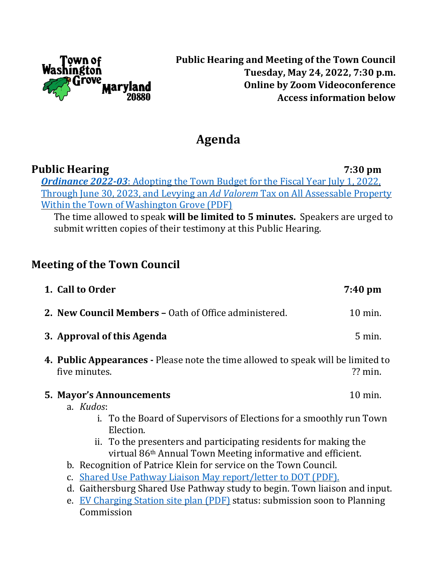

## **Public Hearing and Meeting of the Town Council Tuesday, May 24, 2022, 7:30 p.m. Online by Zoom Videoconference Access information below**

# **Agenda**

**Public Hearing 7:30 pm** *[Ordinance](https://washingtongrovemd.org/wp-content/uploads/2022/05/Ord.-2022-03-FY2023-SIGNED.pdf) 2022-03*: Adopting the Town Budget for the Fiscal Year July 1, 2022, Through June 30, 2023, and Levying an *Ad Valorem* Tax on All [Assessable](https://washingtongrovemd.org/wp-content/uploads/2022/05/Ord.-2022-03-FY2023-SIGNED.pdf) Property Within the Town of [Washington](https://washingtongrovemd.org/wp-content/uploads/2022/05/Ord.-2022-03-FY2023-SIGNED.pdf) Grove (PDF)

The time allowed to speak **will be limited to 5 minutes.** Speakers are urged to submit written copies of their testimony at this Public Hearing.

# **Meeting of the Town Council**

Commission

| 1. Call to Order                                                                                                                            | 7:40 pm   |
|---------------------------------------------------------------------------------------------------------------------------------------------|-----------|
| 2. New Council Members - Oath of Office administered.                                                                                       | 10 min.   |
| 3. Approval of this Agenda                                                                                                                  | $5$ min.  |
| 4. Public Appearances - Please note the time allowed to speak will be limited to<br>five minutes.                                           | $??$ min. |
| <b>5. Mayor's Announcements</b>                                                                                                             | 10 min.   |
| a. Kudos:<br>i. To the Board of Supervisors of Elections for a smoothly run Town<br>Election.                                               |           |
| ii. To the presenters and participating residents for making the<br>virtual 86 <sup>th</sup> Annual Town Meeting informative and efficient. |           |
| b. Recognition of Patrice Klein for service on the Town Council.                                                                            |           |
| c. Shared Use Pathway Liaison May report/letter to DOT (PDF).                                                                               |           |
| d. Gaithersburg Shared Use Pathway study to begin. Town liaison and input.                                                                  |           |
| EV Charging Station site plan (PDF) status: submission soon to Planning<br>e.                                                               |           |